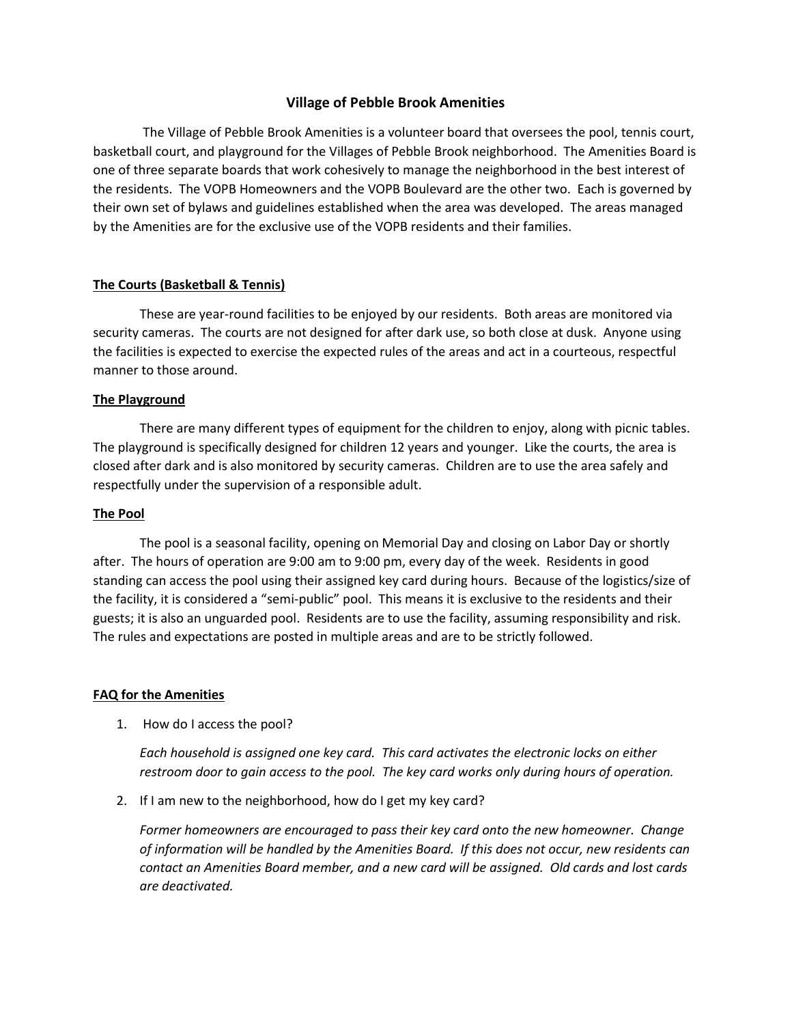# **Village of Pebble Brook Amenities**

 The Village of Pebble Brook Amenities is a volunteer board that oversees the pool, tennis court, basketball court, and playground for the Villages of Pebble Brook neighborhood. The Amenities Board is one of three separate boards that work cohesively to manage the neighborhood in the best interest of the residents. The VOPB Homeowners and the VOPB Boulevard are the other two. Each is governed by their own set of bylaws and guidelines established when the area was developed. The areas managed by the Amenities are for the exclusive use of the VOPB residents and their families.

# **The Courts (Basketball & Tennis)**

 These are year-round facilities to be enjoyed by our residents. Both areas are monitored via security cameras. The courts are not designed for after dark use, so both close at dusk. Anyone using the facilities is expected to exercise the expected rules of the areas and act in a courteous, respectful manner to those around.

### **The Playground**

There are many different types of equipment for the children to enjoy, along with picnic tables. The playground is specifically designed for children 12 years and younger. Like the courts, the area is closed after dark and is also monitored by security cameras. Children are to use the area safely and respectfully under the supervision of a responsible adult.

### **The Pool**

The pool is a seasonal facility, opening on Memorial Day and closing on Labor Day or shortly after. The hours of operation are 9:00 am to 9:00 pm, every day of the week. Residents in good standing can access the pool using their assigned key card during hours. Because of the logistics/size of the facility, it is considered a "semi-public" pool. This means it is exclusive to the residents and their guests; it is also an unguarded pool. Residents are to use the facility, assuming responsibility and risk. The rules and expectations are posted in multiple areas and are to be strictly followed.

### **FAQ for the Amenities**

1. How do I access the pool?

*Each household is assigned one key card. This card activates the electronic locks on either restroom door to gain access to the pool. The key card works only during hours of operation.*

2. If I am new to the neighborhood, how do I get my key card?

*Former homeowners are encouraged to pass their key card onto the new homeowner. Change of information will be handled by the Amenities Board. If this does not occur, new residents can contact an Amenities Board member, and a new card will be assigned. Old cards and lost cards are deactivated.*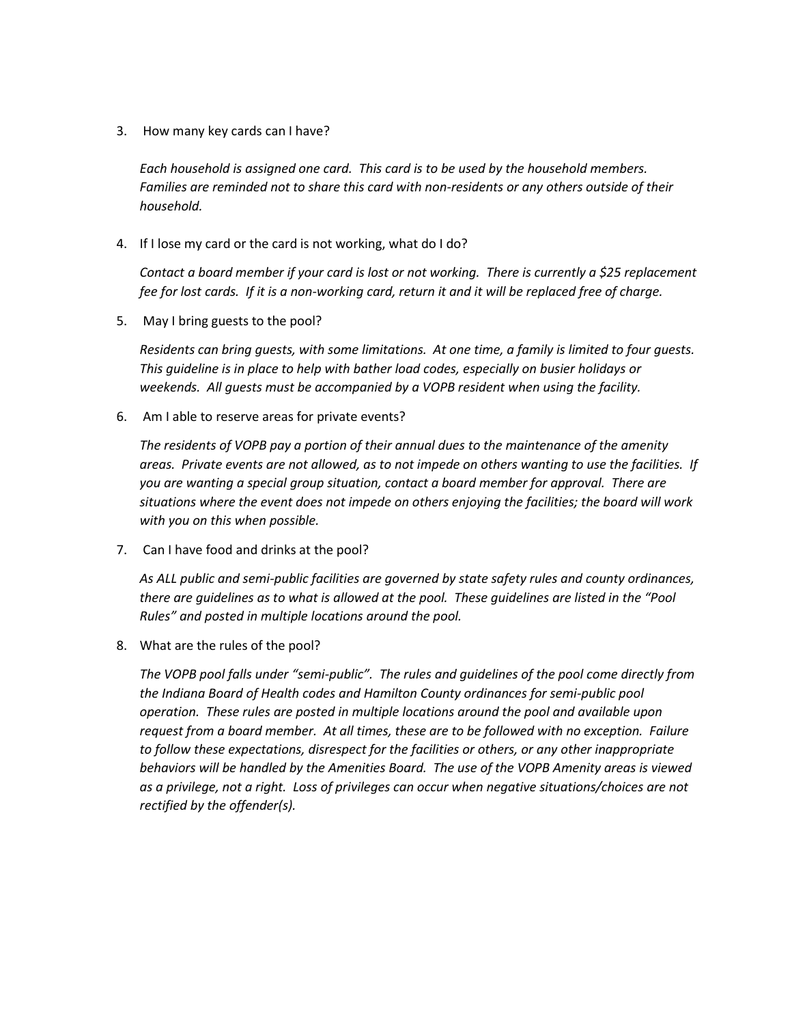3. How many key cards can I have?

*Each household is assigned one card. This card is to be used by the household members. Families are reminded not to share this card with non-residents or any others outside of their household.*

4. If I lose my card or the card is not working, what do I do?

*Contact a board member if your card is lost or not working. There is currently a \$25 replacement fee for lost cards. If it is a non-working card, return it and it will be replaced free of charge.*

5. May I bring guests to the pool?

*Residents can bring guests, with some limitations. At one time, a family is limited to four guests. This guideline is in place to help with bather load codes, especially on busier holidays or weekends. All guests must be accompanied by a VOPB resident when using the facility.*

6. Am I able to reserve areas for private events?

*The residents of VOPB pay a portion of their annual dues to the maintenance of the amenity areas. Private events are not allowed, as to not impede on others wanting to use the facilities. If you are wanting a special group situation, contact a board member for approval. There are situations where the event does not impede on others enjoying the facilities; the board will work with you on this when possible.*

7. Can I have food and drinks at the pool?

*As ALL public and semi-public facilities are governed by state safety rules and county ordinances, there are guidelines as to what is allowed at the pool. These guidelines are listed in the "Pool Rules" and posted in multiple locations around the pool.* 

8. What are the rules of the pool?

*The VOPB pool falls under "semi-public". The rules and guidelines of the pool come directly from the Indiana Board of Health codes and Hamilton County ordinances for semi-public pool operation. These rules are posted in multiple locations around the pool and available upon request from a board member. At all times, these are to be followed with no exception. Failure to follow these expectations, disrespect for the facilities or others, or any other inappropriate behaviors will be handled by the Amenities Board. The use of the VOPB Amenity areas is viewed as a privilege, not a right. Loss of privileges can occur when negative situations/choices are not rectified by the offender(s).*